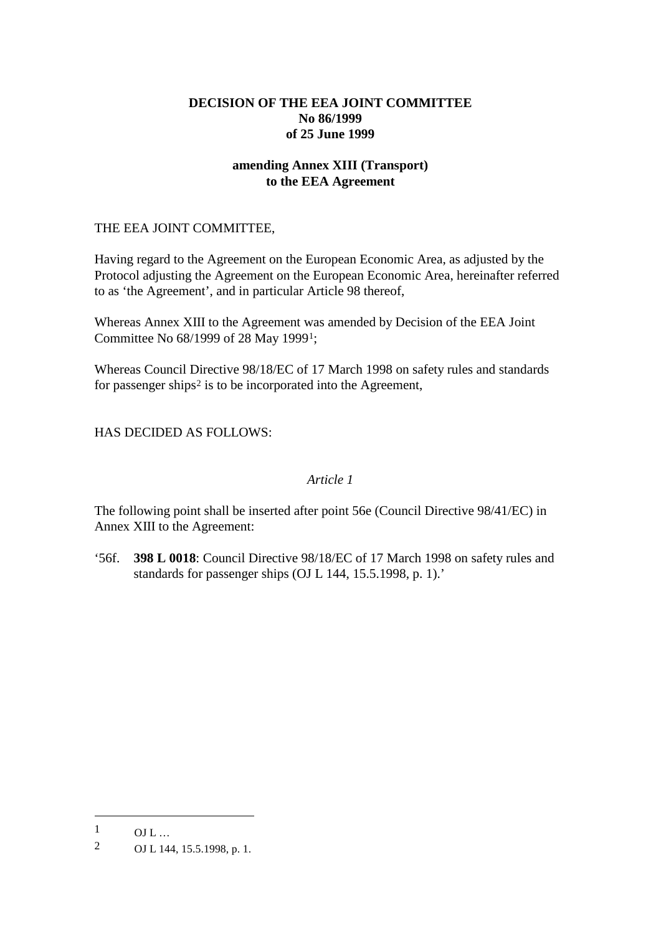# **DECISION OF THE EEA JOINT COMMITTEE No 86/1999 of 25 June 1999**

# **amending Annex XIII (Transport) to the EEA Agreement**

### THE EEA JOINT COMMITTEE,

Having regard to the Agreement on the European Economic Area, as adjusted by the Protocol adjusting the Agreement on the European Economic Area, hereinafter referred to as 'the Agreement', and in particular Article 98 thereof,

Whereas Annex XIII to the Agreement was amended by Decision of the EEA Joint Committee No 68/1999 of 28 May 1999[1;](#page-0-0)

Whereas Council Directive 98/18/EC of 17 March 1998 on safety rules and standards for passenger ships<sup>[2](#page-0-1)</sup> is to be incorporated into the Agreement,

HAS DECIDED AS FOLLOWS:

# *Article 1*

The following point shall be inserted after point 56e (Council Directive 98/41/EC) in Annex XIII to the Agreement:

'56f. **398 L 0018**: Council Directive 98/18/EC of 17 March 1998 on safety rules and standards for passenger ships (OJ L 144, 15.5.1998, p. 1).'

-

<span id="page-0-0"></span> $1$  OJ L ...

<span id="page-0-1"></span><sup>2</sup> OJ L 144, 15.5.1998, p. 1.